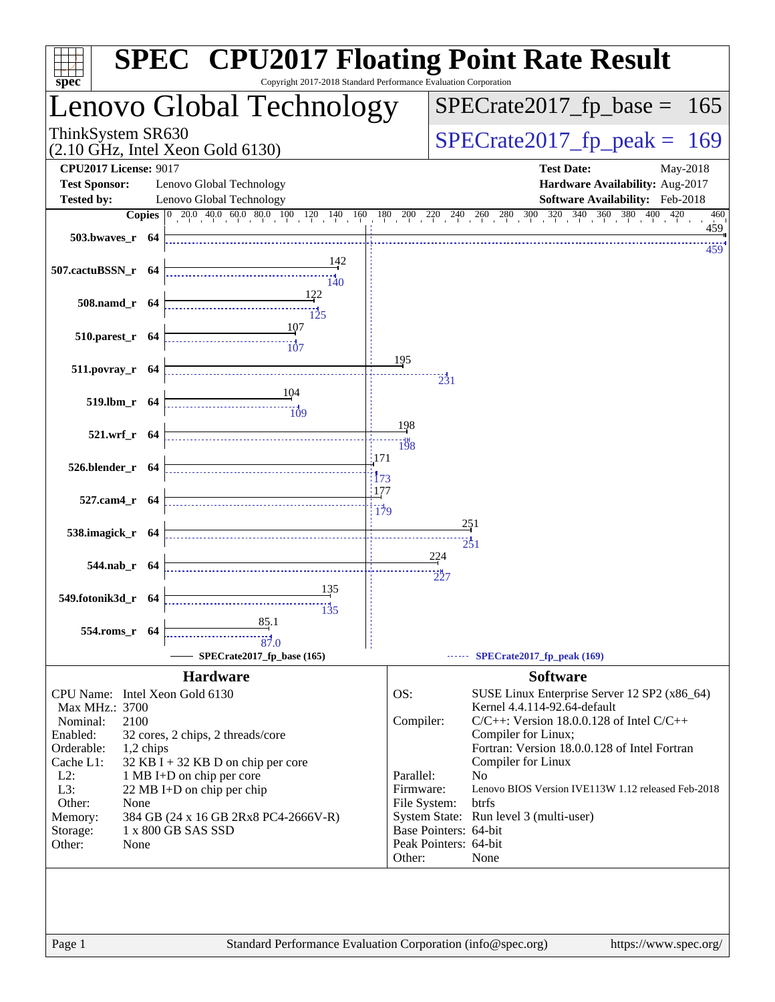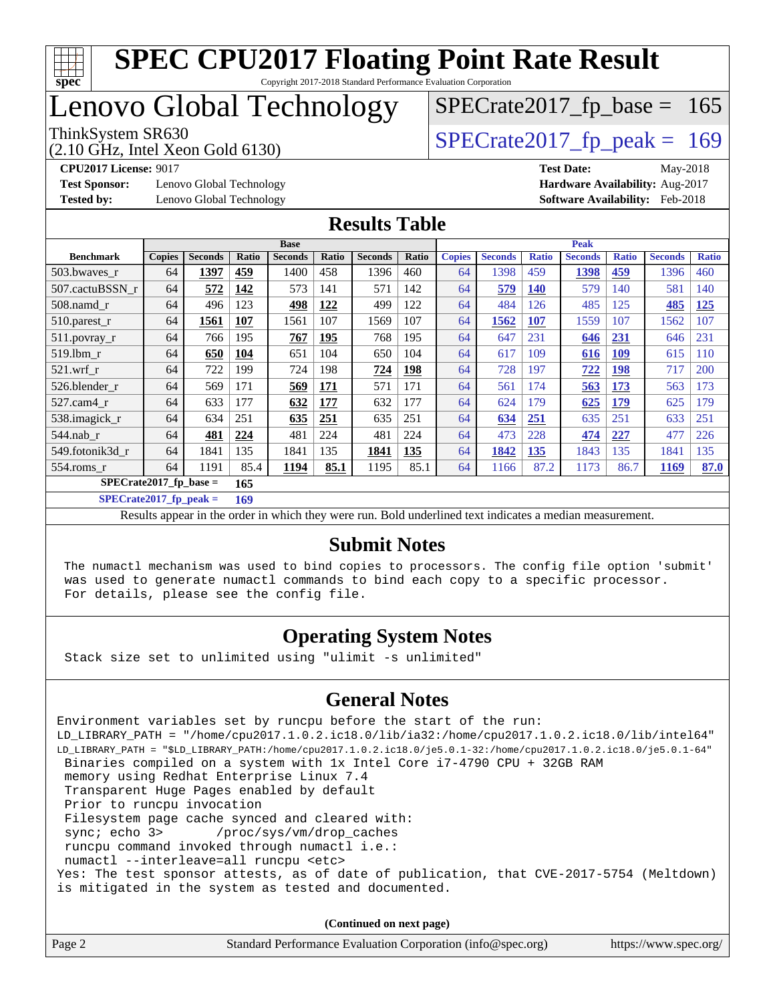

Copyright 2017-2018 Standard Performance Evaluation Corporation

# Lenovo Global Technology

(2.10 GHz, Intel Xeon Gold 6130)

ThinkSystem SR630<br>(2.10 GHz, Intel Xeon Gold 6130)  $SPECTate2017$  [p\_peak = 169

 $SPECTate2017_fp\_base = 165$ 

**[Test Sponsor:](http://www.spec.org/auto/cpu2017/Docs/result-fields.html#TestSponsor)** Lenovo Global Technology **[Hardware Availability:](http://www.spec.org/auto/cpu2017/Docs/result-fields.html#HardwareAvailability)** Aug-2017

**[CPU2017 License:](http://www.spec.org/auto/cpu2017/Docs/result-fields.html#CPU2017License)** 9017 **[Test Date:](http://www.spec.org/auto/cpu2017/Docs/result-fields.html#TestDate)** May-2018 **[Tested by:](http://www.spec.org/auto/cpu2017/Docs/result-fields.html#Testedby)** Lenovo Global Technology **[Software Availability:](http://www.spec.org/auto/cpu2017/Docs/result-fields.html#SoftwareAvailability)** Feb-2018

#### **[Results Table](http://www.spec.org/auto/cpu2017/Docs/result-fields.html#ResultsTable)**

|                          |               |                |       | <b>Base</b>    |            |                |       |               |                |              | <b>Peak</b>    |              |                |              |
|--------------------------|---------------|----------------|-------|----------------|------------|----------------|-------|---------------|----------------|--------------|----------------|--------------|----------------|--------------|
| <b>Benchmark</b>         | <b>Copies</b> | <b>Seconds</b> | Ratio | <b>Seconds</b> | Ratio      | <b>Seconds</b> | Ratio | <b>Copies</b> | <b>Seconds</b> | <b>Ratio</b> | <b>Seconds</b> | <b>Ratio</b> | <b>Seconds</b> | <b>Ratio</b> |
| 503.bwaves_r             | 64            | 1397           | 459   | 1400           | 458        | 1396           | 460   | 64            | 1398           | 459          | 1398           | 459          | 1396           | 460          |
| 507.cactuBSSN r          | 64            | 572            | 142   | 573            | 141        | 571            | 142   | 64            | 579            | <b>140</b>   | 579            | 140          | 581            | 140          |
| $508$ .namd $r$          | 64            | 496            | 123   | 498            | 122        | 499            | 122   | 64            | 484            | 126          | 485            | 125          | 485            | <b>125</b>   |
| $510.parest_r$           | 64            | 1561           | 107   | 1561           | 107        | 1569           | 107   | 64            | 1562           | 107          | 1559           | 107          | 1562           | 107          |
| 511.povray_r             | 64            | 766            | 195   | 767            | 195        | 768            | 195   | 64            | 647            | 231          | 646            | <b>231</b>   | 646            | 231          |
| 519.lbm r                | 64            | 650            | 104   | 651            | 104        | 650            | 104   | 64            | 617            | 109          | 616            | 109          | 615            | 110          |
| $521$ .wrf r             | 64            | 722            | 199   | 724            | 198        | 724            | 198   | 64            | 728            | 197          | 722            | <b>198</b>   | 717            | 200          |
| 526.blender r            | 64            | 569            | 171   | 569            | <u>171</u> | 571            | 171   | 64            | 561            | 174          | 563            | 173          | 563            | 173          |
| $527$ .cam $4r$          | 64            | 633            | 177   | 632            | 177        | 632            | 177   | 64            | 624            | 179          | 625            | 179          | 625            | 179          |
| 538.imagick_r            | 64            | 634            | 251   | 635            | 251        | 635            | 251   | 64            | 634            | 251          | 635            | 251          | 633            | 251          |
| $544$ .nab_r             | 64            | 481            | 224   | 481            | 224        | 481            | 224   | 64            | 473            | 228          | 474            | 227          | 477            | 226          |
| 549.fotonik3d r          | 64            | 1841           | 135   | 1841           | 135        | 1841           | 135   | 64            | 1842           | 135          | 1843           | 135          | 1841           | 135          |
| $554$ .roms r            | 64            | 1191           | 85.4  | 1194           | 85.1       | 1195           | 85.1  | 64            | 1166           | 87.2         | 1173           | 86.7         | 1169           | 87.0         |
| $SPECrate2017$ fp base = |               |                | 165   |                |            |                |       |               |                |              |                |              |                |              |

**[SPECrate2017\\_fp\\_peak =](http://www.spec.org/auto/cpu2017/Docs/result-fields.html#SPECrate2017fppeak) 169**

Results appear in the [order in which they were run.](http://www.spec.org/auto/cpu2017/Docs/result-fields.html#RunOrder) Bold underlined text [indicates a median measurement.](http://www.spec.org/auto/cpu2017/Docs/result-fields.html#Median)

#### **[Submit Notes](http://www.spec.org/auto/cpu2017/Docs/result-fields.html#SubmitNotes)**

 The numactl mechanism was used to bind copies to processors. The config file option 'submit' was used to generate numactl commands to bind each copy to a specific processor. For details, please see the config file.

#### **[Operating System Notes](http://www.spec.org/auto/cpu2017/Docs/result-fields.html#OperatingSystemNotes)**

Stack size set to unlimited using "ulimit -s unlimited"

#### **[General Notes](http://www.spec.org/auto/cpu2017/Docs/result-fields.html#GeneralNotes)**

Environment variables set by runcpu before the start of the run: LD\_LIBRARY\_PATH = "/home/cpu2017.1.0.2.ic18.0/lib/ia32:/home/cpu2017.1.0.2.ic18.0/lib/intel64" LD\_LIBRARY\_PATH = "\$LD\_LIBRARY\_PATH:/home/cpu2017.1.0.2.ic18.0/je5.0.1-32:/home/cpu2017.1.0.2.ic18.0/je5.0.1-64" Binaries compiled on a system with 1x Intel Core i7-4790 CPU + 32GB RAM memory using Redhat Enterprise Linux 7.4 Transparent Huge Pages enabled by default Prior to runcpu invocation Filesystem page cache synced and cleared with: sync; echo 3> /proc/sys/vm/drop\_caches runcpu command invoked through numactl i.e.: numactl --interleave=all runcpu <etc> Yes: The test sponsor attests, as of date of publication, that CVE-2017-5754 (Meltdown) is mitigated in the system as tested and documented.

**(Continued on next page)**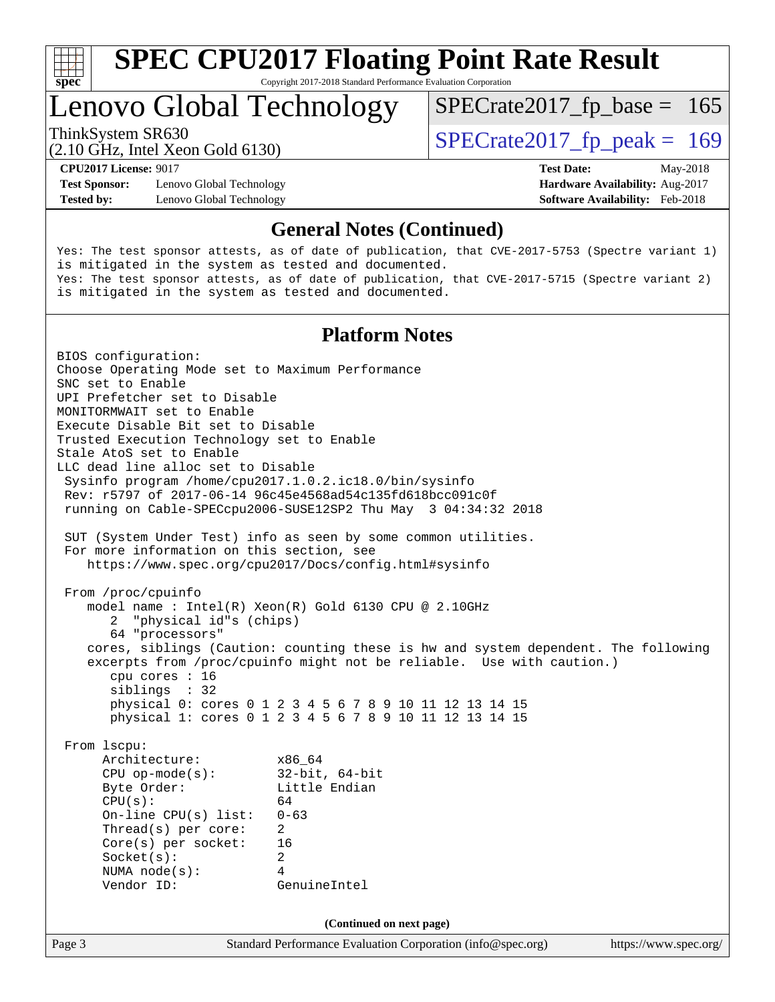

Copyright 2017-2018 Standard Performance Evaluation Corporation

# Lenovo Global Technology

ThinkSystem SR630<br>  $(2.10 \text{ GHz})$  Intel Yean Gold 6130)

 $SPECTate2017_fp\_base = 165$ 

(2.10 GHz, Intel Xeon Gold 6130)

**[Test Sponsor:](http://www.spec.org/auto/cpu2017/Docs/result-fields.html#TestSponsor)** Lenovo Global Technology **[Hardware Availability:](http://www.spec.org/auto/cpu2017/Docs/result-fields.html#HardwareAvailability)** Aug-2017 **[Tested by:](http://www.spec.org/auto/cpu2017/Docs/result-fields.html#Testedby)** Lenovo Global Technology **[Software Availability:](http://www.spec.org/auto/cpu2017/Docs/result-fields.html#SoftwareAvailability)** Feb-2018

**[CPU2017 License:](http://www.spec.org/auto/cpu2017/Docs/result-fields.html#CPU2017License)** 9017 **[Test Date:](http://www.spec.org/auto/cpu2017/Docs/result-fields.html#TestDate)** May-2018

#### **[General Notes \(Continued\)](http://www.spec.org/auto/cpu2017/Docs/result-fields.html#GeneralNotes)**

Yes: The test sponsor attests, as of date of publication, that CVE-2017-5753 (Spectre variant 1) is mitigated in the system as tested and documented. Yes: The test sponsor attests, as of date of publication, that CVE-2017-5715 (Spectre variant 2) is mitigated in the system as tested and documented.

#### **[Platform Notes](http://www.spec.org/auto/cpu2017/Docs/result-fields.html#PlatformNotes)**

Page 3 Standard Performance Evaluation Corporation [\(info@spec.org\)](mailto:info@spec.org) <https://www.spec.org/> BIOS configuration: Choose Operating Mode set to Maximum Performance SNC set to Enable UPI Prefetcher set to Disable MONITORMWAIT set to Enable Execute Disable Bit set to Disable Trusted Execution Technology set to Enable Stale AtoS set to Enable LLC dead line alloc set to Disable Sysinfo program /home/cpu2017.1.0.2.ic18.0/bin/sysinfo Rev: r5797 of 2017-06-14 96c45e4568ad54c135fd618bcc091c0f running on Cable-SPECcpu2006-SUSE12SP2 Thu May 3 04:34:32 2018 SUT (System Under Test) info as seen by some common utilities. For more information on this section, see <https://www.spec.org/cpu2017/Docs/config.html#sysinfo> From /proc/cpuinfo model name : Intel(R) Xeon(R) Gold 6130 CPU @ 2.10GHz 2 "physical id"s (chips) 64 "processors" cores, siblings (Caution: counting these is hw and system dependent. The following excerpts from /proc/cpuinfo might not be reliable. Use with caution.) cpu cores : 16 siblings : 32 physical 0: cores 0 1 2 3 4 5 6 7 8 9 10 11 12 13 14 15 physical 1: cores 0 1 2 3 4 5 6 7 8 9 10 11 12 13 14 15 From lscpu: Architecture: x86\_64 CPU op-mode(s): 32-bit, 64-bit Byte Order: Little Endian  $CPU(s):$  64 On-line CPU(s) list: 0-63 Thread(s) per core: 2 Core(s) per socket: 16 Socket(s): 2 NUMA node(s): 4 Vendor ID: GenuineIntel **(Continued on next page)**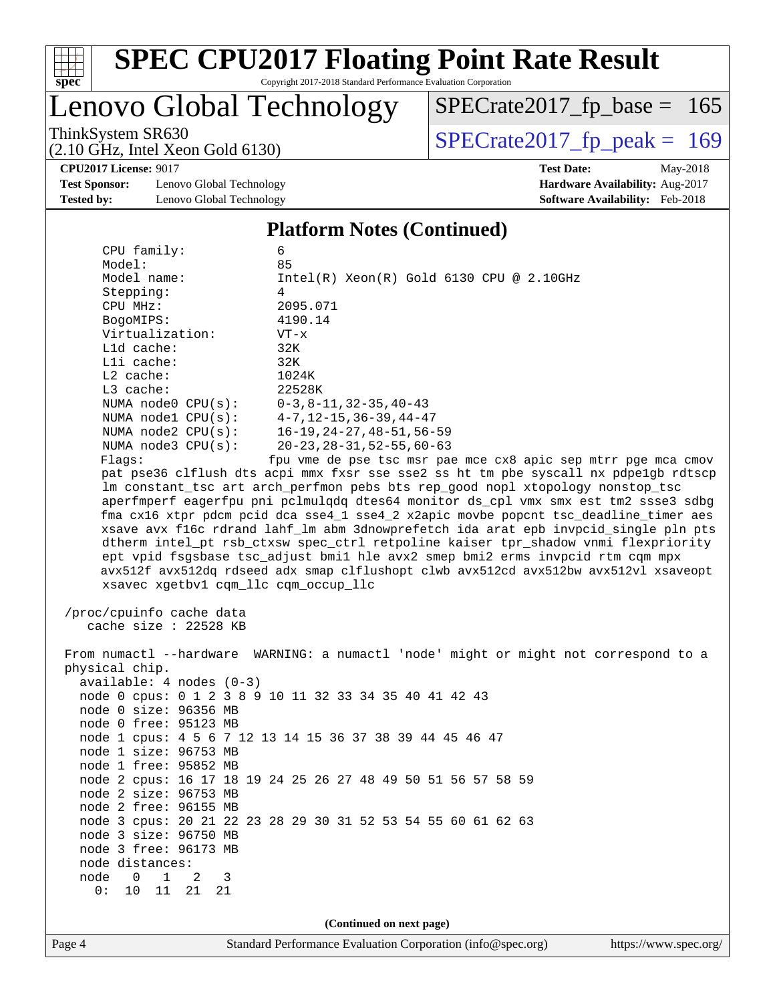

Copyright 2017-2018 Standard Performance Evaluation Corporation

# Lenovo Global Technology

ThinkSystem SR630<br>(2.10 GHz, Intel Xeon Gold 6130)  $SPECTate2017$  [p\_peak = 169

 $SPECTate2017_fp\_base = 165$ 

#### **[CPU2017 License:](http://www.spec.org/auto/cpu2017/Docs/result-fields.html#CPU2017License)** 9017 **[Test Date:](http://www.spec.org/auto/cpu2017/Docs/result-fields.html#TestDate)** May-2018

**[Test Sponsor:](http://www.spec.org/auto/cpu2017/Docs/result-fields.html#TestSponsor)** Lenovo Global Technology **[Hardware Availability:](http://www.spec.org/auto/cpu2017/Docs/result-fields.html#HardwareAvailability)** Aug-2017 **[Tested by:](http://www.spec.org/auto/cpu2017/Docs/result-fields.html#Testedby)** Lenovo Global Technology **[Software Availability:](http://www.spec.org/auto/cpu2017/Docs/result-fields.html#SoftwareAvailability)** Feb-2018

(2.10 GHz, Intel Xeon Gold 6130)

#### **[Platform Notes \(Continued\)](http://www.spec.org/auto/cpu2017/Docs/result-fields.html#PlatformNotes)**

 CPU family: 6 Model: 85 Model name: Intel(R) Xeon(R) Gold 6130 CPU @ 2.10GHz Stepping: 4 CPU MHz: 2095.071 BogoMIPS: 4190.14 Virtualization: VT-x L1d cache: 32K L1i cache: 32K L2 cache: 1024K L3 cache: 22528K NUMA node0 CPU(s): 0-3,8-11,32-35,40-43 NUMA node1 CPU(s): 4-7,12-15,36-39,44-47<br>NUMA node2 CPU(s): 16-19,24-27,48-51,56-16-19, 24-27, 48-51, 56-59 NUMA node3 CPU(s): 20-23,28-31,52-55,60-63 Flags: fpu vme de pse tsc msr pae mce cx8 apic sep mtrr pge mca cmov pat pse36 clflush dts acpi mmx fxsr sse sse2 ss ht tm pbe syscall nx pdpe1gb rdtscp lm constant\_tsc art arch\_perfmon pebs bts rep\_good nopl xtopology nonstop\_tsc aperfmperf eagerfpu pni pclmulqdq dtes64 monitor ds\_cpl vmx smx est tm2 ssse3 sdbg fma cx16 xtpr pdcm pcid dca sse4\_1 sse4\_2 x2apic movbe popcnt tsc\_deadline\_timer aes xsave avx f16c rdrand lahf\_lm abm 3dnowprefetch ida arat epb invpcid\_single pln pts dtherm intel\_pt rsb\_ctxsw spec\_ctrl retpoline kaiser tpr\_shadow vnmi flexpriority ept vpid fsgsbase tsc\_adjust bmi1 hle avx2 smep bmi2 erms invpcid rtm cqm mpx avx512f avx512dq rdseed adx smap clflushopt clwb avx512cd avx512bw avx512vl xsaveopt xsavec xgetbv1 cqm\_llc cqm\_occup\_llc /proc/cpuinfo cache data cache size : 22528 KB

 From numactl --hardware WARNING: a numactl 'node' might or might not correspond to a physical chip. available: 4 nodes (0-3) node 0 cpus: 0 1 2 3 8 9 10 11 32 33 34 35 40 41 42 43 node 0 size: 96356 MB node 0 free: 95123 MB node 1 cpus: 4 5 6 7 12 13 14 15 36 37 38 39 44 45 46 47 node 1 size: 96753 MB node 1 free: 95852 MB node 2 cpus: 16 17 18 19 24 25 26 27 48 49 50 51 56 57 58 59 node 2 size: 96753 MB node 2 free: 96155 MB node 3 cpus: 20 21 22 23 28 29 30 31 52 53 54 55 60 61 62 63 node 3 size: 96750 MB node 3 free: 96173 MB node distances: node 0 1 2 3 0: 10 11 21 21

**(Continued on next page)**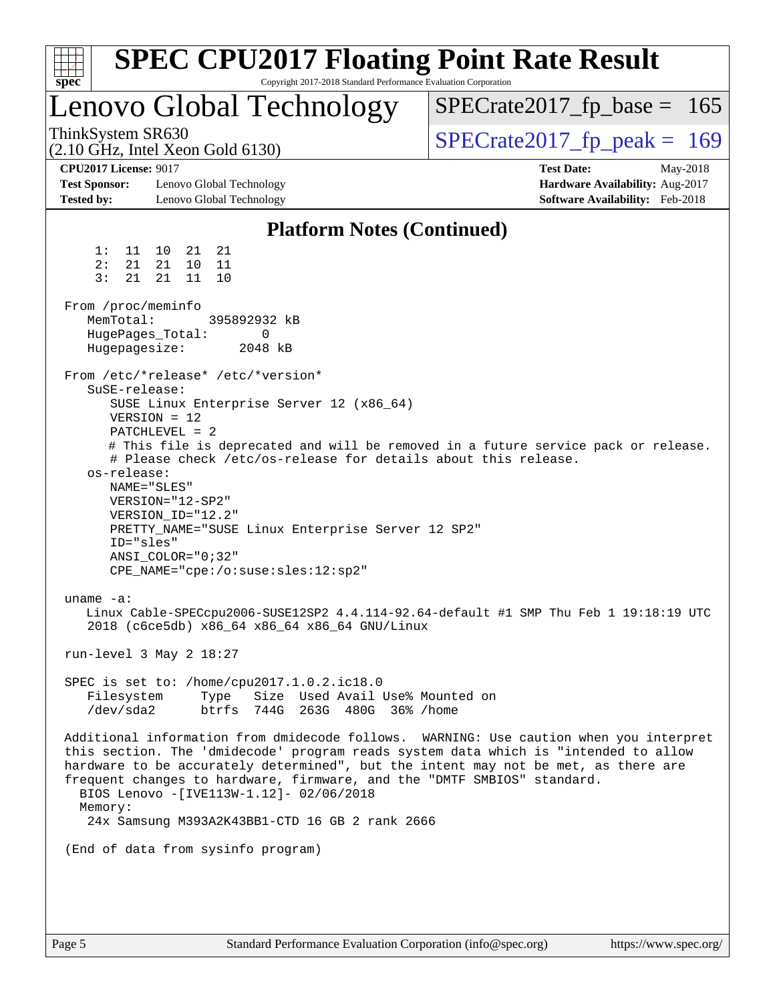|                                                                                                                                                                                                                                                                                                                                                                                                                                                                                                                                                              | <b>SPEC CPU2017 Floating Point Rate Result</b>                                                                                                                              |
|--------------------------------------------------------------------------------------------------------------------------------------------------------------------------------------------------------------------------------------------------------------------------------------------------------------------------------------------------------------------------------------------------------------------------------------------------------------------------------------------------------------------------------------------------------------|-----------------------------------------------------------------------------------------------------------------------------------------------------------------------------|
| Copyright 2017-2018 Standard Performance Evaluation Corporation<br>$spec^*$                                                                                                                                                                                                                                                                                                                                                                                                                                                                                  |                                                                                                                                                                             |
| Lenovo Global Technology                                                                                                                                                                                                                                                                                                                                                                                                                                                                                                                                     | $SPECrate2017_fp\_base = 165$                                                                                                                                               |
| ThinkSystem SR630<br>$(2.10 \text{ GHz}, \text{Intel Xeon Gold } 6130)$                                                                                                                                                                                                                                                                                                                                                                                                                                                                                      | $SPECTate2017$ _fp_peak = 169                                                                                                                                               |
| <b>CPU2017 License: 9017</b><br><b>Test Sponsor:</b><br>Lenovo Global Technology<br><b>Tested by:</b><br>Lenovo Global Technology                                                                                                                                                                                                                                                                                                                                                                                                                            | <b>Test Date:</b><br>May-2018<br>Hardware Availability: Aug-2017<br>Software Availability: Feb-2018                                                                         |
| <b>Platform Notes (Continued)</b>                                                                                                                                                                                                                                                                                                                                                                                                                                                                                                                            |                                                                                                                                                                             |
| 1:<br>11<br>10<br>21<br>21<br>2:<br>21 21<br>10<br>11<br>$\overline{3}$ :<br>21<br>21<br>11<br>10<br>From /proc/meminfo                                                                                                                                                                                                                                                                                                                                                                                                                                      |                                                                                                                                                                             |
| MemTotal:<br>395892932 kB<br>HugePages_Total:<br>0<br>Hugepagesize:<br>2048 kB                                                                                                                                                                                                                                                                                                                                                                                                                                                                               |                                                                                                                                                                             |
| From /etc/*release* /etc/*version*<br>SuSE-release:<br>SUSE Linux Enterprise Server 12 (x86_64)<br>$VERSION = 12$<br>$PATCHLEVEL = 2$<br># Please check /etc/os-release for details about this release.<br>os-release:<br>NAME="SLES"<br>VERSION="12-SP2"<br>VERSION_ID="12.2"<br>PRETTY_NAME="SUSE Linux Enterprise Server 12 SP2"<br>ID="sles"<br>$ANSI$ _COLOR=" $0:32$ "<br>CPE_NAME="cpe:/o:suse:sles:12:sp2"<br>uname $-a$ :<br>2018 (c6ce5db) x86_64 x86_64 x86_64 GNU/Linux<br>run-level 3 May 2 18:27<br>SPEC is set to: /home/cpu2017.1.0.2.ic18.0 | # This file is deprecated and will be removed in a future service pack or release.<br>Linux Cable-SPECcpu2006-SUSE12SP2 4.4.114-92.64-default #1 SMP Thu Feb 1 19:18:19 UTC |
| Filesystem<br>Size Used Avail Use% Mounted on<br>Type<br>/dev/sda2<br>btrfs 744G 263G 480G 36% / home                                                                                                                                                                                                                                                                                                                                                                                                                                                        |                                                                                                                                                                             |
| this section. The 'dmidecode' program reads system data which is "intended to allow<br>hardware to be accurately determined", but the intent may not be met, as there are<br>frequent changes to hardware, firmware, and the "DMTF SMBIOS" standard.<br>BIOS Lenovo -[IVE113W-1.12]- 02/06/2018<br>Memory:<br>24x Samsung M393A2K43BB1-CTD 16 GB 2 rank 2666                                                                                                                                                                                                 | Additional information from dmidecode follows. WARNING: Use caution when you interpret                                                                                      |
| (End of data from sysinfo program)                                                                                                                                                                                                                                                                                                                                                                                                                                                                                                                           |                                                                                                                                                                             |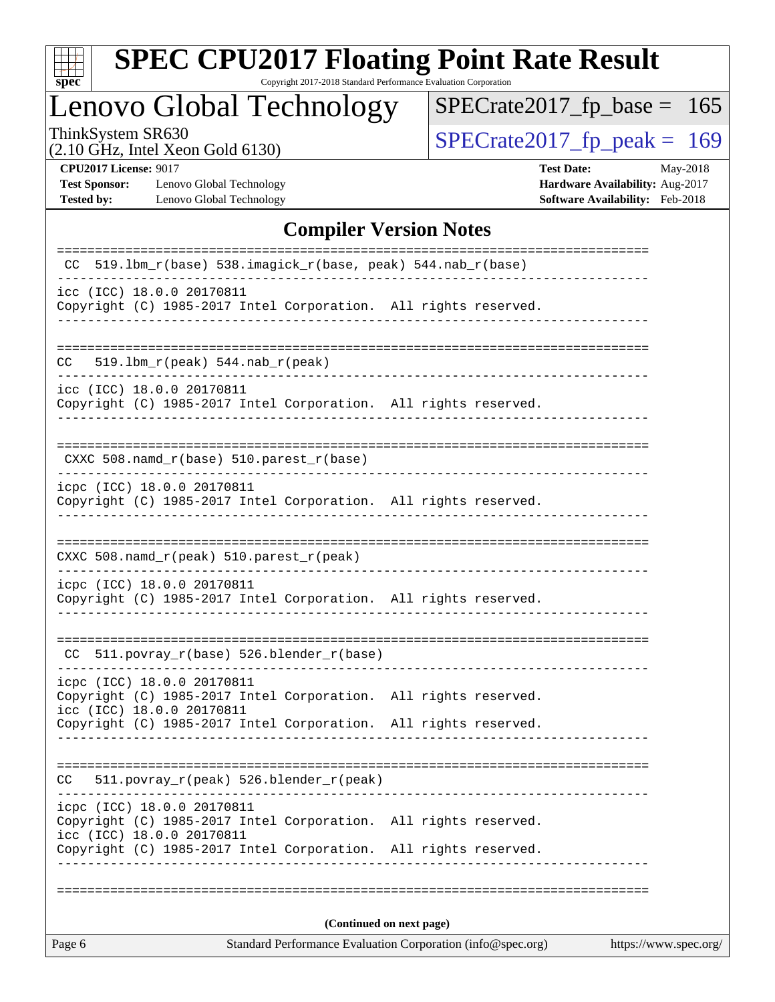

Copyright 2017-2018 Standard Performance Evaluation Corporation

# Lenovo Global Technology

ThinkSystem SR630<br>  $(2.10 \text{ GHz} \cdot \text{Intel} \times \text{eon} \text{ Gold } 6130)$  [SPECrate2017\\_fp\\_peak =](http://www.spec.org/auto/cpu2017/Docs/result-fields.html#SPECrate2017fppeak) 169

[SPECrate2017\\_fp\\_base =](http://www.spec.org/auto/cpu2017/Docs/result-fields.html#SPECrate2017fpbase) 165

(2.10 GHz, Intel Xeon Gold 6130)

**[Test Sponsor:](http://www.spec.org/auto/cpu2017/Docs/result-fields.html#TestSponsor)** Lenovo Global Technology **[Hardware Availability:](http://www.spec.org/auto/cpu2017/Docs/result-fields.html#HardwareAvailability)** Aug-2017 **[Tested by:](http://www.spec.org/auto/cpu2017/Docs/result-fields.html#Testedby)** Lenovo Global Technology **[Software Availability:](http://www.spec.org/auto/cpu2017/Docs/result-fields.html#SoftwareAvailability)** Feb-2018

**[CPU2017 License:](http://www.spec.org/auto/cpu2017/Docs/result-fields.html#CPU2017License)** 9017 **[Test Date:](http://www.spec.org/auto/cpu2017/Docs/result-fields.html#TestDate)** May-2018

#### **[Compiler Version Notes](http://www.spec.org/auto/cpu2017/Docs/result-fields.html#CompilerVersionNotes)**

| Page 6                                                  |                                                                                                               | Standard Performance Evaluation Corporation (info@spec.org) | https://www.spec.org/ |
|---------------------------------------------------------|---------------------------------------------------------------------------------------------------------------|-------------------------------------------------------------|-----------------------|
|                                                         |                                                                                                               | (Continued on next page)                                    |                       |
|                                                         |                                                                                                               |                                                             |                       |
| icpc (ICC) 18.0.0 20170811<br>icc (ICC) 18.0.0 20170811 | Copyright (C) 1985-2017 Intel Corporation. All rights reserved.<br>Copyright (C) 1985-2017 Intel Corporation. | All rights reserved.                                        |                       |
| CC.                                                     | 511.povray_r(peak) 526.blender_r(peak)                                                                        |                                                             |                       |
|                                                         |                                                                                                               |                                                             |                       |
| icc (ICC) 18.0.0 20170811                               | Copyright (C) 1985-2017 Intel Corporation. All rights reserved.                                               |                                                             |                       |
| icpc (ICC) 18.0.0 20170811                              | Copyright (C) 1985-2017 Intel Corporation. All rights reserved.                                               |                                                             |                       |
|                                                         | $CC$ 511.povray $r(base)$ 526.blender $r(base)$                                                               |                                                             |                       |
| icpc (ICC) 18.0.0 20170811                              | Copyright (C) 1985-2017 Intel Corporation. All rights reserved.                                               |                                                             |                       |
|                                                         | CXXC 508.namd_r(peak) 510.parest_r(peak)                                                                      | ---------------                                             |                       |
| icpc (ICC) 18.0.0 20170811                              | Copyright (C) 1985-2017 Intel Corporation. All rights reserved.                                               |                                                             |                       |
|                                                         | CXXC 508.namd_r(base) 510.parest_r(base)                                                                      | _________________________________                           |                       |
| icc (ICC) 18.0.0 20170811                               | Copyright (C) 1985-2017 Intel Corporation. All rights reserved.                                               |                                                             |                       |
| CC.                                                     | $519.1bm_r(peak) 544.nab_r(peak)$                                                                             |                                                             |                       |
| icc (ICC) 18.0.0 20170811                               | Copyright (C) 1985-2017 Intel Corporation. All rights reserved.                                               |                                                             |                       |
|                                                         | CC 519.1bm_r(base) 538.imagick_r(base, peak) 544.nab_r(base)                                                  |                                                             |                       |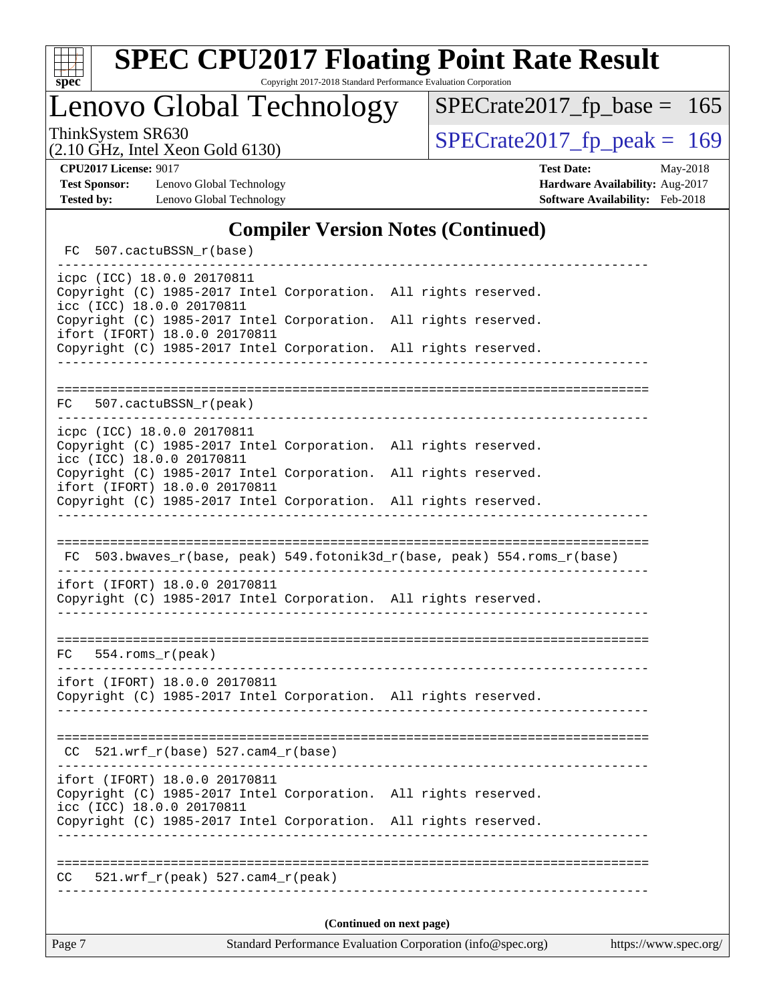

Copyright 2017-2018 Standard Performance Evaluation Corporation

Lenovo Global Technology

ThinkSystem SR630<br>  $(2.10 \text{ GHz})$  Intel Xeon Gold 6130)

 $SPECTate2017_fp\_base = 165$ 

(2.10 GHz, Intel Xeon Gold 6130)

**[Test Sponsor:](http://www.spec.org/auto/cpu2017/Docs/result-fields.html#TestSponsor)** Lenovo Global Technology **[Hardware Availability:](http://www.spec.org/auto/cpu2017/Docs/result-fields.html#HardwareAvailability)** Aug-2017 **[Tested by:](http://www.spec.org/auto/cpu2017/Docs/result-fields.html#Testedby)** Lenovo Global Technology **[Software Availability:](http://www.spec.org/auto/cpu2017/Docs/result-fields.html#SoftwareAvailability)** Feb-2018

**[CPU2017 License:](http://www.spec.org/auto/cpu2017/Docs/result-fields.html#CPU2017License)** 9017 **[Test Date:](http://www.spec.org/auto/cpu2017/Docs/result-fields.html#TestDate)** May-2018

#### **[Compiler Version Notes \(Continued\)](http://www.spec.org/auto/cpu2017/Docs/result-fields.html#CompilerVersionNotes)**

| FC 507.cactuBSSN_r(base)                                                                                                      |                  |                                                                          |
|-------------------------------------------------------------------------------------------------------------------------------|------------------|--------------------------------------------------------------------------|
| icpc (ICC) 18.0.0 20170811<br>Copyright (C) 1985-2017 Intel Corporation. All rights reserved.<br>icc (ICC) 18.0.0 20170811    |                  |                                                                          |
| Copyright (C) 1985-2017 Intel Corporation. All rights reserved.<br>ifort (IFORT) 18.0.0 20170811                              |                  |                                                                          |
| Copyright (C) 1985-2017 Intel Corporation. All rights reserved.                                                               |                  |                                                                          |
|                                                                                                                               |                  |                                                                          |
| 507.cactuBSSN_r(peak)<br>FC                                                                                                   |                  |                                                                          |
| icpc (ICC) 18.0.0 20170811<br>Copyright (C) 1985-2017 Intel Corporation. All rights reserved.<br>icc (ICC) 18.0.0 20170811    |                  |                                                                          |
| Copyright (C) 1985-2017 Intel Corporation. All rights reserved.<br>ifort (IFORT) 18.0.0 20170811                              |                  |                                                                          |
| Copyright (C) 1985-2017 Intel Corporation. All rights reserved.                                                               |                  |                                                                          |
|                                                                                                                               |                  |                                                                          |
|                                                                                                                               |                  | FC 503.bwaves_r(base, peak) 549.fotonik3d_r(base, peak) 554.roms_r(base) |
| ifort (IFORT) 18.0.0 20170811<br>Copyright (C) 1985-2017 Intel Corporation. All rights reserved.                              |                  |                                                                          |
| $FC$ 554. $roms_r(peak)$                                                                                                      |                  |                                                                          |
| ifort (IFORT) 18.0.0 20170811<br>Copyright (C) 1985-2017 Intel Corporation. All rights reserved.                              |                  |                                                                          |
|                                                                                                                               |                  |                                                                          |
| $CC$ 521.wrf_r(base) 527.cam4_r(base)                                                                                         |                  |                                                                          |
| ifort (IFORT) 18.0.0 20170811<br>Copyright (C) 1985-2017 Intel Corporation. All rights reserved.<br>icc (ICC) 18.0.0 20170811 |                  |                                                                          |
| Copyright (C) 1985-2017 Intel Corporation. All rights reserved.                                                               | ________________ |                                                                          |
| 521.wrf $r(\text{peak})$ 527.cam4 $r(\text{peak})$<br>CC.                                                                     |                  | _________________________________                                        |
|                                                                                                                               |                  | (Continued on next page)                                                 |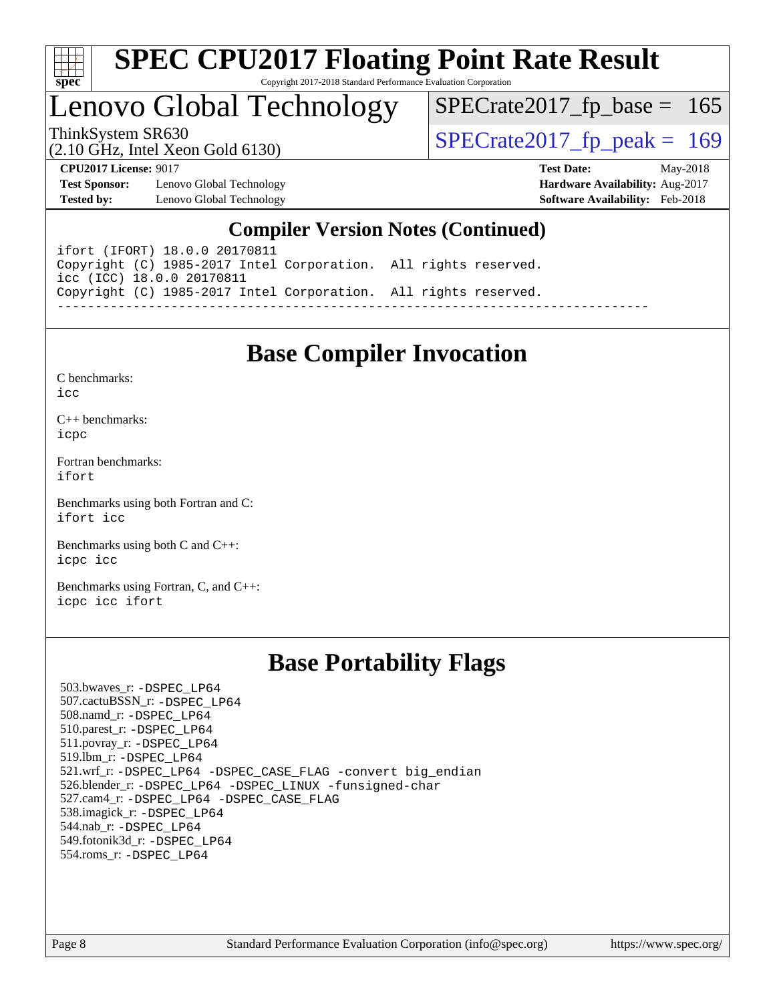

#### **[SPEC CPU2017 Floating Point Rate Result](http://www.spec.org/auto/cpu2017/Docs/result-fields.html#SPECCPU2017FloatingPointRateResult)** Copyright 2017-2018 Standard Performance Evaluation Corporation

# Lenovo Global Technology

ThinkSystem SR630<br>(2.10 GHz, Intel Xeon Gold 6130)  $SPECTate2017$  [p\_peak = 169

 $SPECTate2017_fp\_base = 165$ 

(2.10 GHz, Intel Xeon Gold 6130)

**[CPU2017 License:](http://www.spec.org/auto/cpu2017/Docs/result-fields.html#CPU2017License)** 9017 **[Test Date:](http://www.spec.org/auto/cpu2017/Docs/result-fields.html#TestDate)** May-2018 **[Test Sponsor:](http://www.spec.org/auto/cpu2017/Docs/result-fields.html#TestSponsor)** Lenovo Global Technology **[Hardware Availability:](http://www.spec.org/auto/cpu2017/Docs/result-fields.html#HardwareAvailability)** Aug-2017 **[Tested by:](http://www.spec.org/auto/cpu2017/Docs/result-fields.html#Testedby)** Lenovo Global Technology **[Software Availability:](http://www.spec.org/auto/cpu2017/Docs/result-fields.html#SoftwareAvailability)** Feb-2018

#### **[Compiler Version Notes \(Continued\)](http://www.spec.org/auto/cpu2017/Docs/result-fields.html#CompilerVersionNotes)**

ifort (IFORT) 18.0.0 20170811 Copyright (C) 1985-2017 Intel Corporation. All rights reserved. icc (ICC) 18.0.0 20170811 Copyright (C) 1985-2017 Intel Corporation. All rights reserved. ------------------------------------------------------------------------------

## **[Base Compiler Invocation](http://www.spec.org/auto/cpu2017/Docs/result-fields.html#BaseCompilerInvocation)**

[C benchmarks](http://www.spec.org/auto/cpu2017/Docs/result-fields.html#Cbenchmarks):  $i$ cc

[C++ benchmarks:](http://www.spec.org/auto/cpu2017/Docs/result-fields.html#CXXbenchmarks) [icpc](http://www.spec.org/cpu2017/results/res2018q2/cpu2017-20180527-05850.flags.html#user_CXXbase_intel_icpc_18.0_c510b6838c7f56d33e37e94d029a35b4a7bccf4766a728ee175e80a419847e808290a9b78be685c44ab727ea267ec2f070ec5dc83b407c0218cded6866a35d07)

[Fortran benchmarks](http://www.spec.org/auto/cpu2017/Docs/result-fields.html#Fortranbenchmarks): [ifort](http://www.spec.org/cpu2017/results/res2018q2/cpu2017-20180527-05850.flags.html#user_FCbase_intel_ifort_18.0_8111460550e3ca792625aed983ce982f94888b8b503583aa7ba2b8303487b4d8a21a13e7191a45c5fd58ff318f48f9492884d4413fa793fd88dd292cad7027ca)

[Benchmarks using both Fortran and C](http://www.spec.org/auto/cpu2017/Docs/result-fields.html#BenchmarksusingbothFortranandC): [ifort](http://www.spec.org/cpu2017/results/res2018q2/cpu2017-20180527-05850.flags.html#user_CC_FCbase_intel_ifort_18.0_8111460550e3ca792625aed983ce982f94888b8b503583aa7ba2b8303487b4d8a21a13e7191a45c5fd58ff318f48f9492884d4413fa793fd88dd292cad7027ca) [icc](http://www.spec.org/cpu2017/results/res2018q2/cpu2017-20180527-05850.flags.html#user_CC_FCbase_intel_icc_18.0_66fc1ee009f7361af1fbd72ca7dcefbb700085f36577c54f309893dd4ec40d12360134090235512931783d35fd58c0460139e722d5067c5574d8eaf2b3e37e92)

[Benchmarks using both C and C++](http://www.spec.org/auto/cpu2017/Docs/result-fields.html#BenchmarksusingbothCandCXX): [icpc](http://www.spec.org/cpu2017/results/res2018q2/cpu2017-20180527-05850.flags.html#user_CC_CXXbase_intel_icpc_18.0_c510b6838c7f56d33e37e94d029a35b4a7bccf4766a728ee175e80a419847e808290a9b78be685c44ab727ea267ec2f070ec5dc83b407c0218cded6866a35d07) [icc](http://www.spec.org/cpu2017/results/res2018q2/cpu2017-20180527-05850.flags.html#user_CC_CXXbase_intel_icc_18.0_66fc1ee009f7361af1fbd72ca7dcefbb700085f36577c54f309893dd4ec40d12360134090235512931783d35fd58c0460139e722d5067c5574d8eaf2b3e37e92)

[Benchmarks using Fortran, C, and C++:](http://www.spec.org/auto/cpu2017/Docs/result-fields.html#BenchmarksusingFortranCandCXX) [icpc](http://www.spec.org/cpu2017/results/res2018q2/cpu2017-20180527-05850.flags.html#user_CC_CXX_FCbase_intel_icpc_18.0_c510b6838c7f56d33e37e94d029a35b4a7bccf4766a728ee175e80a419847e808290a9b78be685c44ab727ea267ec2f070ec5dc83b407c0218cded6866a35d07) [icc](http://www.spec.org/cpu2017/results/res2018q2/cpu2017-20180527-05850.flags.html#user_CC_CXX_FCbase_intel_icc_18.0_66fc1ee009f7361af1fbd72ca7dcefbb700085f36577c54f309893dd4ec40d12360134090235512931783d35fd58c0460139e722d5067c5574d8eaf2b3e37e92) [ifort](http://www.spec.org/cpu2017/results/res2018q2/cpu2017-20180527-05850.flags.html#user_CC_CXX_FCbase_intel_ifort_18.0_8111460550e3ca792625aed983ce982f94888b8b503583aa7ba2b8303487b4d8a21a13e7191a45c5fd58ff318f48f9492884d4413fa793fd88dd292cad7027ca)

### **[Base Portability Flags](http://www.spec.org/auto/cpu2017/Docs/result-fields.html#BasePortabilityFlags)**

 503.bwaves\_r: [-DSPEC\\_LP64](http://www.spec.org/cpu2017/results/res2018q2/cpu2017-20180527-05850.flags.html#suite_basePORTABILITY503_bwaves_r_DSPEC_LP64) 507.cactuBSSN\_r: [-DSPEC\\_LP64](http://www.spec.org/cpu2017/results/res2018q2/cpu2017-20180527-05850.flags.html#suite_basePORTABILITY507_cactuBSSN_r_DSPEC_LP64) 508.namd\_r: [-DSPEC\\_LP64](http://www.spec.org/cpu2017/results/res2018q2/cpu2017-20180527-05850.flags.html#suite_basePORTABILITY508_namd_r_DSPEC_LP64) 510.parest\_r: [-DSPEC\\_LP64](http://www.spec.org/cpu2017/results/res2018q2/cpu2017-20180527-05850.flags.html#suite_basePORTABILITY510_parest_r_DSPEC_LP64) 511.povray\_r: [-DSPEC\\_LP64](http://www.spec.org/cpu2017/results/res2018q2/cpu2017-20180527-05850.flags.html#suite_basePORTABILITY511_povray_r_DSPEC_LP64) 519.lbm\_r: [-DSPEC\\_LP64](http://www.spec.org/cpu2017/results/res2018q2/cpu2017-20180527-05850.flags.html#suite_basePORTABILITY519_lbm_r_DSPEC_LP64) 521.wrf\_r: [-DSPEC\\_LP64](http://www.spec.org/cpu2017/results/res2018q2/cpu2017-20180527-05850.flags.html#suite_basePORTABILITY521_wrf_r_DSPEC_LP64) [-DSPEC\\_CASE\\_FLAG](http://www.spec.org/cpu2017/results/res2018q2/cpu2017-20180527-05850.flags.html#b521.wrf_r_baseCPORTABILITY_DSPEC_CASE_FLAG) [-convert big\\_endian](http://www.spec.org/cpu2017/results/res2018q2/cpu2017-20180527-05850.flags.html#user_baseFPORTABILITY521_wrf_r_convert_big_endian_c3194028bc08c63ac5d04de18c48ce6d347e4e562e8892b8bdbdc0214820426deb8554edfa529a3fb25a586e65a3d812c835984020483e7e73212c4d31a38223) 526.blender\_r: [-DSPEC\\_LP64](http://www.spec.org/cpu2017/results/res2018q2/cpu2017-20180527-05850.flags.html#suite_basePORTABILITY526_blender_r_DSPEC_LP64) [-DSPEC\\_LINUX](http://www.spec.org/cpu2017/results/res2018q2/cpu2017-20180527-05850.flags.html#b526.blender_r_baseCPORTABILITY_DSPEC_LINUX) [-funsigned-char](http://www.spec.org/cpu2017/results/res2018q2/cpu2017-20180527-05850.flags.html#user_baseCPORTABILITY526_blender_r_force_uchar_40c60f00ab013830e2dd6774aeded3ff59883ba5a1fc5fc14077f794d777847726e2a5858cbc7672e36e1b067e7e5c1d9a74f7176df07886a243d7cc18edfe67) 527.cam4\_r: [-DSPEC\\_LP64](http://www.spec.org/cpu2017/results/res2018q2/cpu2017-20180527-05850.flags.html#suite_basePORTABILITY527_cam4_r_DSPEC_LP64) [-DSPEC\\_CASE\\_FLAG](http://www.spec.org/cpu2017/results/res2018q2/cpu2017-20180527-05850.flags.html#b527.cam4_r_baseCPORTABILITY_DSPEC_CASE_FLAG) 538.imagick\_r: [-DSPEC\\_LP64](http://www.spec.org/cpu2017/results/res2018q2/cpu2017-20180527-05850.flags.html#suite_basePORTABILITY538_imagick_r_DSPEC_LP64) 544.nab\_r: [-DSPEC\\_LP64](http://www.spec.org/cpu2017/results/res2018q2/cpu2017-20180527-05850.flags.html#suite_basePORTABILITY544_nab_r_DSPEC_LP64) 549.fotonik3d\_r: [-DSPEC\\_LP64](http://www.spec.org/cpu2017/results/res2018q2/cpu2017-20180527-05850.flags.html#suite_basePORTABILITY549_fotonik3d_r_DSPEC_LP64) 554.roms\_r: [-DSPEC\\_LP64](http://www.spec.org/cpu2017/results/res2018q2/cpu2017-20180527-05850.flags.html#suite_basePORTABILITY554_roms_r_DSPEC_LP64)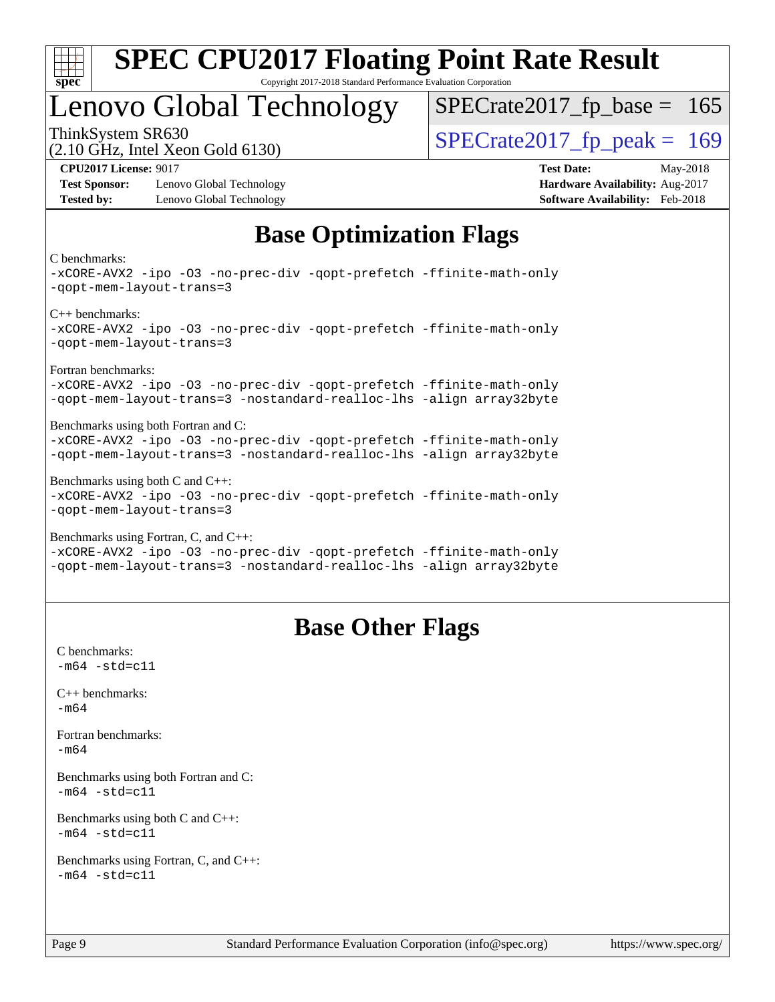

#### **[SPEC CPU2017 Floating Point Rate Result](http://www.spec.org/auto/cpu2017/Docs/result-fields.html#SPECCPU2017FloatingPointRateResult)** Copyright 2017-2018 Standard Performance Evaluation Corporation

## Lenovo Global Technology

ThinkSystem SR630<br>  $\langle 2.10 \text{ GHz}$  Intel Yean Gald 6130)

 $SPECTate2017_fp\_base = 165$ 

#### (2.10 GHz, Intel Xeon Gold 6130)

**[Test Sponsor:](http://www.spec.org/auto/cpu2017/Docs/result-fields.html#TestSponsor)** Lenovo Global Technology **[Hardware Availability:](http://www.spec.org/auto/cpu2017/Docs/result-fields.html#HardwareAvailability)** Aug-2017 **[Tested by:](http://www.spec.org/auto/cpu2017/Docs/result-fields.html#Testedby)** Lenovo Global Technology **[Software Availability:](http://www.spec.org/auto/cpu2017/Docs/result-fields.html#SoftwareAvailability)** Feb-2018

**[CPU2017 License:](http://www.spec.org/auto/cpu2017/Docs/result-fields.html#CPU2017License)** 9017 **[Test Date:](http://www.spec.org/auto/cpu2017/Docs/result-fields.html#TestDate)** May-2018

## **[Base Optimization Flags](http://www.spec.org/auto/cpu2017/Docs/result-fields.html#BaseOptimizationFlags)**

[C benchmarks:](http://www.spec.org/auto/cpu2017/Docs/result-fields.html#Cbenchmarks)

```
-xCORE-AVX2 -ipo -O3 -no-prec-div -qopt-prefetch -ffinite-math-only
-qopt-mem-layout-trans=3
C++ benchmarks: 
-xCORE-AVX2 -ipo -O3 -no-prec-div -qopt-prefetch -ffinite-math-only
-qopt-mem-layout-trans=3
Fortran benchmarks: 
-xCORE-AVX2 -ipo -O3 -no-prec-div -qopt-prefetch -ffinite-math-only
-qopt-mem-layout-trans=3 -nostandard-realloc-lhs -align array32byte
Benchmarks using both Fortran and C: 
-xCORE-AVX2 -ipo -O3 -no-prec-div -qopt-prefetch -ffinite-math-only
-qopt-mem-layout-trans=3 -nostandard-realloc-lhs -align array32byte
Benchmarks using both C and C++: 
-xCORE-AVX2 -ipo -O3 -no-prec-div -qopt-prefetch -ffinite-math-only
-qopt-mem-layout-trans=3
Benchmarks using Fortran, C, and C++: 
-xCORE-AVX2 -ipo -O3 -no-prec-div -qopt-prefetch -ffinite-math-only
```
[-qopt-mem-layout-trans=3](http://www.spec.org/cpu2017/results/res2018q2/cpu2017-20180527-05850.flags.html#user_CC_CXX_FCbase_f-qopt-mem-layout-trans_de80db37974c74b1f0e20d883f0b675c88c3b01e9d123adea9b28688d64333345fb62bc4a798493513fdb68f60282f9a726aa07f478b2f7113531aecce732043) [-nostandard-realloc-lhs](http://www.spec.org/cpu2017/results/res2018q2/cpu2017-20180527-05850.flags.html#user_CC_CXX_FCbase_f_2003_std_realloc_82b4557e90729c0f113870c07e44d33d6f5a304b4f63d4c15d2d0f1fab99f5daaed73bdb9275d9ae411527f28b936061aa8b9c8f2d63842963b95c9dd6426b8a) [-align array32byte](http://www.spec.org/cpu2017/results/res2018q2/cpu2017-20180527-05850.flags.html#user_CC_CXX_FCbase_align_array32byte_b982fe038af199962ba9a80c053b8342c548c85b40b8e86eb3cc33dee0d7986a4af373ac2d51c3f7cf710a18d62fdce2948f201cd044323541f22fc0fffc51b6)

## **[Base Other Flags](http://www.spec.org/auto/cpu2017/Docs/result-fields.html#BaseOtherFlags)**

[C benchmarks](http://www.spec.org/auto/cpu2017/Docs/result-fields.html#Cbenchmarks):  $-m64 - std= c11$  $-m64 - std= c11$ [C++ benchmarks:](http://www.spec.org/auto/cpu2017/Docs/result-fields.html#CXXbenchmarks) [-m64](http://www.spec.org/cpu2017/results/res2018q2/cpu2017-20180527-05850.flags.html#user_CXXbase_intel_intel64_18.0_af43caccfc8ded86e7699f2159af6efc7655f51387b94da716254467f3c01020a5059329e2569e4053f409e7c9202a7efc638f7a6d1ffb3f52dea4a3e31d82ab) [Fortran benchmarks](http://www.spec.org/auto/cpu2017/Docs/result-fields.html#Fortranbenchmarks): [-m64](http://www.spec.org/cpu2017/results/res2018q2/cpu2017-20180527-05850.flags.html#user_FCbase_intel_intel64_18.0_af43caccfc8ded86e7699f2159af6efc7655f51387b94da716254467f3c01020a5059329e2569e4053f409e7c9202a7efc638f7a6d1ffb3f52dea4a3e31d82ab) [Benchmarks using both Fortran and C](http://www.spec.org/auto/cpu2017/Docs/result-fields.html#BenchmarksusingbothFortranandC):  $-m64$   $-std=cl1$ [Benchmarks using both C and C++](http://www.spec.org/auto/cpu2017/Docs/result-fields.html#BenchmarksusingbothCandCXX):  $-m64 - std= c11$  $-m64 - std= c11$ [Benchmarks using Fortran, C, and C++:](http://www.spec.org/auto/cpu2017/Docs/result-fields.html#BenchmarksusingFortranCandCXX)  $-m64 - std = c11$  $-m64 - std = c11$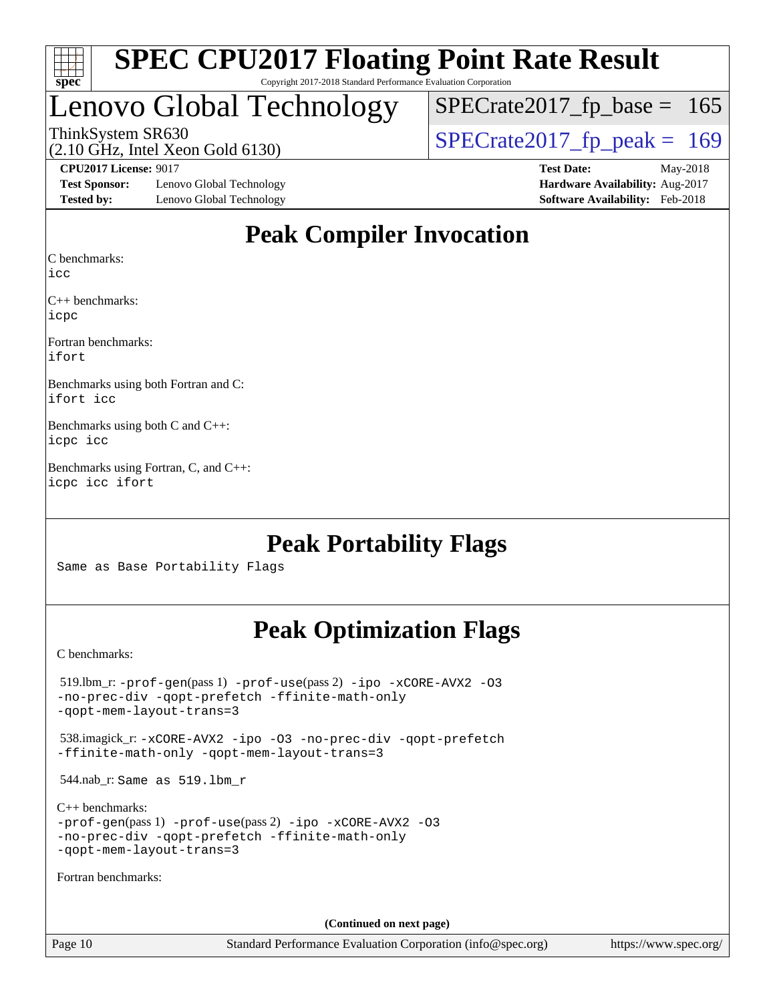

#### **[SPEC CPU2017 Floating Point Rate Result](http://www.spec.org/auto/cpu2017/Docs/result-fields.html#SPECCPU2017FloatingPointRateResult)** Copyright 2017-2018 Standard Performance Evaluation Corporation

# Lenovo Global Technology

ThinkSystem SR630<br>(2.10 GHz, Intel Xeon Gold 6130)  $SPECTate2017$  [p\_peak = 169  $SPECTate2017_fp\_base = 165$ 

(2.10 GHz, Intel Xeon Gold 6130)

**[Test Sponsor:](http://www.spec.org/auto/cpu2017/Docs/result-fields.html#TestSponsor)** Lenovo Global Technology **[Hardware Availability:](http://www.spec.org/auto/cpu2017/Docs/result-fields.html#HardwareAvailability)** Aug-2017 **[Tested by:](http://www.spec.org/auto/cpu2017/Docs/result-fields.html#Testedby)** Lenovo Global Technology **[Software Availability:](http://www.spec.org/auto/cpu2017/Docs/result-fields.html#SoftwareAvailability)** Feb-2018

**[CPU2017 License:](http://www.spec.org/auto/cpu2017/Docs/result-fields.html#CPU2017License)** 9017 **[Test Date:](http://www.spec.org/auto/cpu2017/Docs/result-fields.html#TestDate)** May-2018

## **[Peak Compiler Invocation](http://www.spec.org/auto/cpu2017/Docs/result-fields.html#PeakCompilerInvocation)**

[C benchmarks](http://www.spec.org/auto/cpu2017/Docs/result-fields.html#Cbenchmarks):

[icc](http://www.spec.org/cpu2017/results/res2018q2/cpu2017-20180527-05850.flags.html#user_CCpeak_intel_icc_18.0_66fc1ee009f7361af1fbd72ca7dcefbb700085f36577c54f309893dd4ec40d12360134090235512931783d35fd58c0460139e722d5067c5574d8eaf2b3e37e92)

[C++ benchmarks:](http://www.spec.org/auto/cpu2017/Docs/result-fields.html#CXXbenchmarks) [icpc](http://www.spec.org/cpu2017/results/res2018q2/cpu2017-20180527-05850.flags.html#user_CXXpeak_intel_icpc_18.0_c510b6838c7f56d33e37e94d029a35b4a7bccf4766a728ee175e80a419847e808290a9b78be685c44ab727ea267ec2f070ec5dc83b407c0218cded6866a35d07)

[Fortran benchmarks](http://www.spec.org/auto/cpu2017/Docs/result-fields.html#Fortranbenchmarks): [ifort](http://www.spec.org/cpu2017/results/res2018q2/cpu2017-20180527-05850.flags.html#user_FCpeak_intel_ifort_18.0_8111460550e3ca792625aed983ce982f94888b8b503583aa7ba2b8303487b4d8a21a13e7191a45c5fd58ff318f48f9492884d4413fa793fd88dd292cad7027ca)

[Benchmarks using both Fortran and C](http://www.spec.org/auto/cpu2017/Docs/result-fields.html#BenchmarksusingbothFortranandC): [ifort](http://www.spec.org/cpu2017/results/res2018q2/cpu2017-20180527-05850.flags.html#user_CC_FCpeak_intel_ifort_18.0_8111460550e3ca792625aed983ce982f94888b8b503583aa7ba2b8303487b4d8a21a13e7191a45c5fd58ff318f48f9492884d4413fa793fd88dd292cad7027ca) [icc](http://www.spec.org/cpu2017/results/res2018q2/cpu2017-20180527-05850.flags.html#user_CC_FCpeak_intel_icc_18.0_66fc1ee009f7361af1fbd72ca7dcefbb700085f36577c54f309893dd4ec40d12360134090235512931783d35fd58c0460139e722d5067c5574d8eaf2b3e37e92)

[Benchmarks using both C and C++:](http://www.spec.org/auto/cpu2017/Docs/result-fields.html#BenchmarksusingbothCandCXX) [icpc](http://www.spec.org/cpu2017/results/res2018q2/cpu2017-20180527-05850.flags.html#user_CC_CXXpeak_intel_icpc_18.0_c510b6838c7f56d33e37e94d029a35b4a7bccf4766a728ee175e80a419847e808290a9b78be685c44ab727ea267ec2f070ec5dc83b407c0218cded6866a35d07) [icc](http://www.spec.org/cpu2017/results/res2018q2/cpu2017-20180527-05850.flags.html#user_CC_CXXpeak_intel_icc_18.0_66fc1ee009f7361af1fbd72ca7dcefbb700085f36577c54f309893dd4ec40d12360134090235512931783d35fd58c0460139e722d5067c5574d8eaf2b3e37e92)

[Benchmarks using Fortran, C, and C++](http://www.spec.org/auto/cpu2017/Docs/result-fields.html#BenchmarksusingFortranCandCXX): [icpc](http://www.spec.org/cpu2017/results/res2018q2/cpu2017-20180527-05850.flags.html#user_CC_CXX_FCpeak_intel_icpc_18.0_c510b6838c7f56d33e37e94d029a35b4a7bccf4766a728ee175e80a419847e808290a9b78be685c44ab727ea267ec2f070ec5dc83b407c0218cded6866a35d07) [icc](http://www.spec.org/cpu2017/results/res2018q2/cpu2017-20180527-05850.flags.html#user_CC_CXX_FCpeak_intel_icc_18.0_66fc1ee009f7361af1fbd72ca7dcefbb700085f36577c54f309893dd4ec40d12360134090235512931783d35fd58c0460139e722d5067c5574d8eaf2b3e37e92) [ifort](http://www.spec.org/cpu2017/results/res2018q2/cpu2017-20180527-05850.flags.html#user_CC_CXX_FCpeak_intel_ifort_18.0_8111460550e3ca792625aed983ce982f94888b8b503583aa7ba2b8303487b4d8a21a13e7191a45c5fd58ff318f48f9492884d4413fa793fd88dd292cad7027ca)

## **[Peak Portability Flags](http://www.spec.org/auto/cpu2017/Docs/result-fields.html#PeakPortabilityFlags)**

Same as Base Portability Flags

## **[Peak Optimization Flags](http://www.spec.org/auto/cpu2017/Docs/result-fields.html#PeakOptimizationFlags)**

[C benchmarks](http://www.spec.org/auto/cpu2017/Docs/result-fields.html#Cbenchmarks):

 519.lbm\_r: [-prof-gen](http://www.spec.org/cpu2017/results/res2018q2/cpu2017-20180527-05850.flags.html#user_peakPASS1_CFLAGSPASS1_LDFLAGS519_lbm_r_prof_gen_5aa4926d6013ddb2a31985c654b3eb18169fc0c6952a63635c234f711e6e63dd76e94ad52365559451ec499a2cdb89e4dc58ba4c67ef54ca681ffbe1461d6b36)(pass 1) [-prof-use](http://www.spec.org/cpu2017/results/res2018q2/cpu2017-20180527-05850.flags.html#user_peakPASS2_CFLAGSPASS2_LDFLAGS519_lbm_r_prof_use_1a21ceae95f36a2b53c25747139a6c16ca95bd9def2a207b4f0849963b97e94f5260e30a0c64f4bb623698870e679ca08317ef8150905d41bd88c6f78df73f19)(pass 2) [-ipo](http://www.spec.org/cpu2017/results/res2018q2/cpu2017-20180527-05850.flags.html#user_peakPASS1_COPTIMIZEPASS2_COPTIMIZE519_lbm_r_f-ipo) [-xCORE-AVX2](http://www.spec.org/cpu2017/results/res2018q2/cpu2017-20180527-05850.flags.html#user_peakPASS2_COPTIMIZE519_lbm_r_f-xCORE-AVX2) [-O3](http://www.spec.org/cpu2017/results/res2018q2/cpu2017-20180527-05850.flags.html#user_peakPASS1_COPTIMIZEPASS2_COPTIMIZE519_lbm_r_f-O3) [-no-prec-div](http://www.spec.org/cpu2017/results/res2018q2/cpu2017-20180527-05850.flags.html#user_peakPASS1_COPTIMIZEPASS2_COPTIMIZE519_lbm_r_f-no-prec-div) [-qopt-prefetch](http://www.spec.org/cpu2017/results/res2018q2/cpu2017-20180527-05850.flags.html#user_peakPASS1_COPTIMIZEPASS2_COPTIMIZE519_lbm_r_f-qopt-prefetch) [-ffinite-math-only](http://www.spec.org/cpu2017/results/res2018q2/cpu2017-20180527-05850.flags.html#user_peakPASS1_COPTIMIZEPASS2_COPTIMIZE519_lbm_r_f_finite_math_only_cb91587bd2077682c4b38af759c288ed7c732db004271a9512da14a4f8007909a5f1427ecbf1a0fb78ff2a814402c6114ac565ca162485bbcae155b5e4258871) [-qopt-mem-layout-trans=3](http://www.spec.org/cpu2017/results/res2018q2/cpu2017-20180527-05850.flags.html#user_peakPASS1_COPTIMIZEPASS2_COPTIMIZE519_lbm_r_f-qopt-mem-layout-trans_de80db37974c74b1f0e20d883f0b675c88c3b01e9d123adea9b28688d64333345fb62bc4a798493513fdb68f60282f9a726aa07f478b2f7113531aecce732043) 538.imagick\_r: [-xCORE-AVX2](http://www.spec.org/cpu2017/results/res2018q2/cpu2017-20180527-05850.flags.html#user_peakCOPTIMIZE538_imagick_r_f-xCORE-AVX2) [-ipo](http://www.spec.org/cpu2017/results/res2018q2/cpu2017-20180527-05850.flags.html#user_peakCOPTIMIZE538_imagick_r_f-ipo) [-O3](http://www.spec.org/cpu2017/results/res2018q2/cpu2017-20180527-05850.flags.html#user_peakCOPTIMIZE538_imagick_r_f-O3) [-no-prec-div](http://www.spec.org/cpu2017/results/res2018q2/cpu2017-20180527-05850.flags.html#user_peakCOPTIMIZE538_imagick_r_f-no-prec-div) [-qopt-prefetch](http://www.spec.org/cpu2017/results/res2018q2/cpu2017-20180527-05850.flags.html#user_peakCOPTIMIZE538_imagick_r_f-qopt-prefetch) [-ffinite-math-only](http://www.spec.org/cpu2017/results/res2018q2/cpu2017-20180527-05850.flags.html#user_peakCOPTIMIZE538_imagick_r_f_finite_math_only_cb91587bd2077682c4b38af759c288ed7c732db004271a9512da14a4f8007909a5f1427ecbf1a0fb78ff2a814402c6114ac565ca162485bbcae155b5e4258871) [-qopt-mem-layout-trans=3](http://www.spec.org/cpu2017/results/res2018q2/cpu2017-20180527-05850.flags.html#user_peakCOPTIMIZE538_imagick_r_f-qopt-mem-layout-trans_de80db37974c74b1f0e20d883f0b675c88c3b01e9d123adea9b28688d64333345fb62bc4a798493513fdb68f60282f9a726aa07f478b2f7113531aecce732043) 544.nab\_r: Same as 519.lbm\_r [C++ benchmarks:](http://www.spec.org/auto/cpu2017/Docs/result-fields.html#CXXbenchmarks) [-prof-gen](http://www.spec.org/cpu2017/results/res2018q2/cpu2017-20180527-05850.flags.html#user_CXXpeak_prof_gen_5aa4926d6013ddb2a31985c654b3eb18169fc0c6952a63635c234f711e6e63dd76e94ad52365559451ec499a2cdb89e4dc58ba4c67ef54ca681ffbe1461d6b36)(pass 1) [-prof-use](http://www.spec.org/cpu2017/results/res2018q2/cpu2017-20180527-05850.flags.html#user_CXXpeak_prof_use_1a21ceae95f36a2b53c25747139a6c16ca95bd9def2a207b4f0849963b97e94f5260e30a0c64f4bb623698870e679ca08317ef8150905d41bd88c6f78df73f19)(pass 2) [-ipo](http://www.spec.org/cpu2017/results/res2018q2/cpu2017-20180527-05850.flags.html#user_CXXpeak_f-ipo) [-xCORE-AVX2](http://www.spec.org/cpu2017/results/res2018q2/cpu2017-20180527-05850.flags.html#user_CXXpeak_f-xCORE-AVX2) [-O3](http://www.spec.org/cpu2017/results/res2018q2/cpu2017-20180527-05850.flags.html#user_CXXpeak_f-O3) [-no-prec-div](http://www.spec.org/cpu2017/results/res2018q2/cpu2017-20180527-05850.flags.html#user_CXXpeak_f-no-prec-div) [-qopt-prefetch](http://www.spec.org/cpu2017/results/res2018q2/cpu2017-20180527-05850.flags.html#user_CXXpeak_f-qopt-prefetch) [-ffinite-math-only](http://www.spec.org/cpu2017/results/res2018q2/cpu2017-20180527-05850.flags.html#user_CXXpeak_f_finite_math_only_cb91587bd2077682c4b38af759c288ed7c732db004271a9512da14a4f8007909a5f1427ecbf1a0fb78ff2a814402c6114ac565ca162485bbcae155b5e4258871) [-qopt-mem-layout-trans=3](http://www.spec.org/cpu2017/results/res2018q2/cpu2017-20180527-05850.flags.html#user_CXXpeak_f-qopt-mem-layout-trans_de80db37974c74b1f0e20d883f0b675c88c3b01e9d123adea9b28688d64333345fb62bc4a798493513fdb68f60282f9a726aa07f478b2f7113531aecce732043) [Fortran benchmarks](http://www.spec.org/auto/cpu2017/Docs/result-fields.html#Fortranbenchmarks): **(Continued on next page)**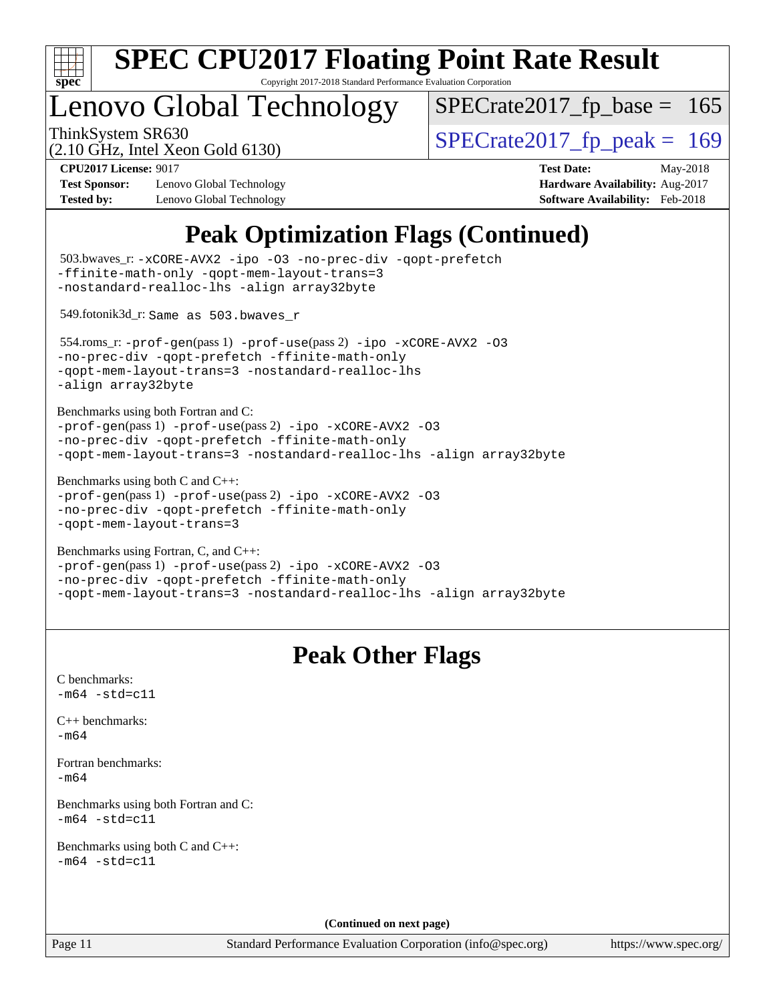

Copyright 2017-2018 Standard Performance Evaluation Corporation

# Lenovo Global Technology

ThinkSystem SR630<br>  $(2.10 \text{ GHz})$  Intel Xeon Gold 6130)  $SPECTate2017_fp\_base = 165$ 

(2.10 GHz, Intel Xeon Gold 6130)

**[Test Sponsor:](http://www.spec.org/auto/cpu2017/Docs/result-fields.html#TestSponsor)** Lenovo Global Technology **[Hardware Availability:](http://www.spec.org/auto/cpu2017/Docs/result-fields.html#HardwareAvailability)** Aug-2017 **[Tested by:](http://www.spec.org/auto/cpu2017/Docs/result-fields.html#Testedby)** Lenovo Global Technology **[Software Availability:](http://www.spec.org/auto/cpu2017/Docs/result-fields.html#SoftwareAvailability)** Feb-2018

**[CPU2017 License:](http://www.spec.org/auto/cpu2017/Docs/result-fields.html#CPU2017License)** 9017 **[Test Date:](http://www.spec.org/auto/cpu2017/Docs/result-fields.html#TestDate)** May-2018

## **[Peak Optimization Flags \(Continued\)](http://www.spec.org/auto/cpu2017/Docs/result-fields.html#PeakOptimizationFlags)**

| 503.bwaves_r: -xCORE-AVX2 -ipo -03 -no-prec-div -qopt-prefetch<br>-ffinite-math-only -qopt-mem-layout-trans=3<br>-nostandard-realloc-lhs -align array32byte                                                                |
|----------------------------------------------------------------------------------------------------------------------------------------------------------------------------------------------------------------------------|
| 549.fotonik3d_r: Same as 503.bwaves_r                                                                                                                                                                                      |
| 554.roms_r:-prof-gen(pass 1) -prof-use(pass 2) -ipo -xCORE-AVX2 -03<br>-no-prec-div -qopt-prefetch -ffinite-math-only<br>-qopt-mem-layout-trans=3 -nostandard-realloc-lhs<br>-align array32byte                            |
| Benchmarks using both Fortran and C:<br>-prof-gen(pass 1) -prof-use(pass 2) -ipo -xCORE-AVX2 -03<br>-no-prec-div -qopt-prefetch -ffinite-math-only<br>-qopt-mem-layout-trans=3 -nostandard-realloc-lhs -align array32byte  |
| Benchmarks using both C and C++:<br>-prof-gen(pass 1) -prof-use(pass 2) -ipo -xCORE-AVX2 -03<br>-no-prec-div -qopt-prefetch -ffinite-math-only<br>-qopt-mem-layout-trans=3                                                 |
| Benchmarks using Fortran, C, and C++:<br>-prof-gen(pass 1) -prof-use(pass 2) -ipo -xCORE-AVX2 -03<br>-no-prec-div -qopt-prefetch -ffinite-math-only<br>-qopt-mem-layout-trans=3 -nostandard-realloc-lhs -align array32byte |
| <b>Peak Other Flags</b>                                                                                                                                                                                                    |
|                                                                                                                                                                                                                            |
| C benchmarks:<br>$-m64 - std= c11$                                                                                                                                                                                         |
| $C++$ benchmarks:<br>$-m64$                                                                                                                                                                                                |
| Fortran benchmarks:<br>$-m64$                                                                                                                                                                                              |
| Benchmarks using both Fortran and C:<br>$-m64 - std= c11$                                                                                                                                                                  |
| Benchmarks using both C and C++:<br>$-m64 - std= c11$                                                                                                                                                                      |
| (Continued on next page)                                                                                                                                                                                                   |

<https://www.spec.org/>